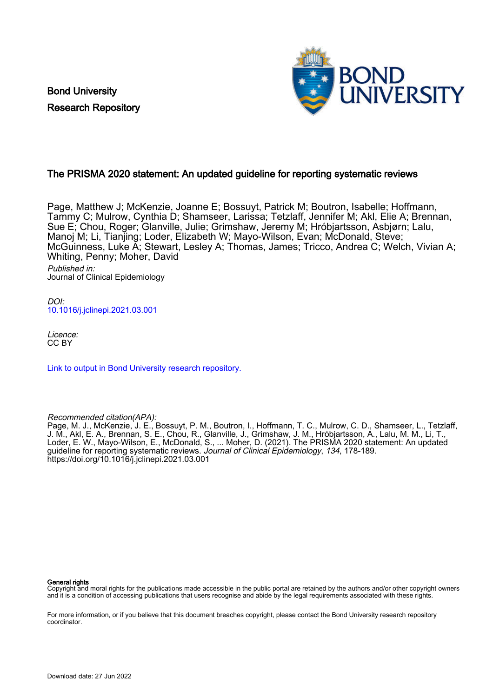Bond University Research Repository



# The PRISMA 2020 statement: An updated guideline for reporting systematic reviews

Page, Matthew J; McKenzie, Joanne E; Bossuyt, Patrick M; Boutron, Isabelle; Hoffmann, Tammy C; Mulrow, Cynthia D; Shamseer, Larissa; Tetzlaff, Jennifer M; Akl, Elie A; Brennan, Sue E; Chou, Roger; Glanville, Julie; Grimshaw, Jeremy M; Hróbjartsson, Asbjørn; Lalu, Manoj M; Li, Tianjing; Loder, Elizabeth W; Mayo-Wilson, Evan; McDonald, Steve; McGuinness, Luke A; Stewart, Lesley A; Thomas, James; Tricco, Andrea C; Welch, Vivian A; Whiting, Penny; Moher, David Published in: Journal of Clinical Epidemiology

DOI: [10.1016/j.jclinepi.2021.03.001](https://doi.org/10.1016/j.jclinepi.2021.03.001)

Licence: CC BY

[Link to output in Bond University research repository.](https://research.bond.edu.au/en/publications/c10a7d35-3646-4abc-b04e-3953550a61f1)

Recommended citation(APA):

Page, M. J., McKenzie, J. E., Bossuyt, P. M., Boutron, I., Hoffmann, T. C., Mulrow, C. D., Shamseer, L., Tetzlaff, J. M., Akl, E. A., Brennan, S. E., Chou, R., Glanville, J., Grimshaw, J. M., Hróbjartsson, A., Lalu, M. M., Li, T., Loder, E. W., Mayo-Wilson, E., McDonald, S., ... Moher, D. (2021). The PRISMA 2020 statement: An updated guideline for reporting systematic reviews. Journal of Clinical Epidemiology, 134, 178-189. <https://doi.org/10.1016/j.jclinepi.2021.03.001>

#### General rights

Copyright and moral rights for the publications made accessible in the public portal are retained by the authors and/or other copyright owners and it is a condition of accessing publications that users recognise and abide by the legal requirements associated with these rights.

For more information, or if you believe that this document breaches copyright, please contact the Bond University research repository coordinator.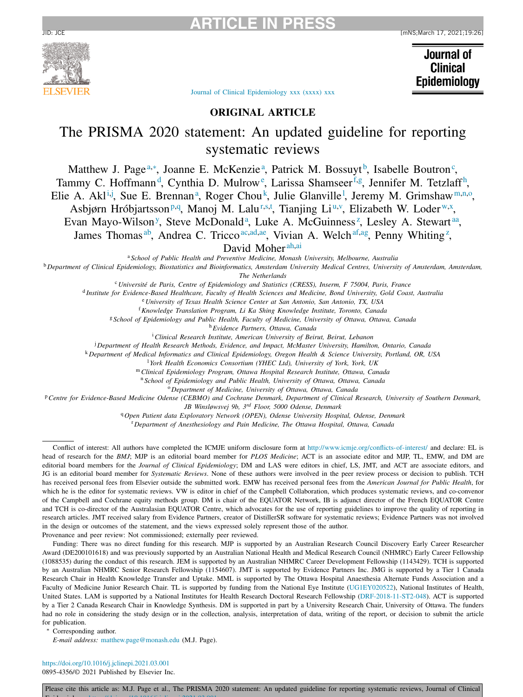

# **ARTICLE IN PRESS**

Journal of **Clinical** Epidemiology

Journal of Clinical [Epidemiology](https://doi.org/10.1016/j.jclinepi.2021.03.001) xxx (xxxx) xxx

# **ORIGINAL ARTICLE**

# The PRISMA 2020 statement: An updated guideline for reporting systematic reviews

Matthew J. Page<sup>a,\*</sup>, Joanne E. McKenzie<sup>a</sup>, Patrick M. Bossuyt<sup>b</sup>, Isabelle Boutron<sup>c</sup>, Tammy C. Hoffmann<sup>d</sup>, Cynthia D. Mulrow<sup>e</sup>, Larissa Shamseer<sup>f,g</sup>, Jennifer M. Tetzlaff<sup>h</sup>, Elie A. Akl<sup>i,j</sup>, Sue E. Brennan<sup>a</sup>, Roger Chou<sup>k</sup>, Julie Glanville<sup>1</sup>, Jeremy M. Grimshaw<sup>m,n,o</sup>, Asbjørn Hróbjartsson<sup>p,q</sup>, Manoj M. Lalu<sup>r[,s,](#page-2-0)t</sup>[,](#page-2-0) Tianjing Li<sup>[u,v](#page-2-0)</sup>, Elizabeth W. Loder<sup>[w,x](#page-2-0)</sup>, Evan Ma[y](#page-2-0)o-Wilson<sup>y</sup>, Steve McDonald<sup>a</sup>, Luke A. McGuinness<sup>[z](#page-2-0)</sup>, Lesley A. Stewart[aa,](#page-2-0)

James Thomas<sup>ab</sup>, Andrea C. Tricco<sup>ac,ad,ae</sup>, Vivian A. Welch<sup>af,ag</sup>, Penny Whiting<sup>[z](#page-2-0)</sup>,

David Moher<sup>[ah,ai](#page-2-0)</sup>

<sup>a</sup> *School of Public Health and Preventive Medicine, Monash University, Melbourne, Australia*

<sup>b</sup> Department of Clinical Epidemiology, Biostatistics and Bioinformatics, Amsterdam University Medical Centres, University of Amsterdam, Amsterdam,

*The Netherlands*

<sup>c</sup> *Université de Paris, Centre of Epidemiology and Statistics (CRESS), Inserm, F 75004, Paris, France*

<sup>d</sup>Institute for Evidence-Based Healthcare, Faculty of Health Sciences and Medicine, Bond University, Gold Coast, Australia

<sup>e</sup> *University of Texas Health Science Center at San Antonio, San Antonio, TX, USA*

<sup>f</sup>*Knowledge Translation Program, Li Ka Shing Knowledge Institute, Toronto, Canada*

<sup>g</sup> *School of Epidemiology and Public Health, Faculty of Medicine, University of Ottawa, Ottawa, Canada*

<sup>h</sup>*Evidence Partners, Ottawa, Canada*

<sup>i</sup>*Clinical Research Institute, American University of Beirut, Beirut, Lebanon*

<sup>j</sup> *Department of Health Research Methods, Evidence, and Impact, McMaster University, Hamilton, Ontario, Canada*

<sup>k</sup> *Department of Medical Informatics and Clinical Epidemiology, Oregon Health & Science University, Portland, OR, USA*

<sup>l</sup> *York Health Economics Consortium (YHEC Ltd), University of York, York, UK*

<sup>m</sup> *Clinical Epidemiology Program, Ottawa Hospital Research Institute, Ottawa, Canada*

<sup>n</sup> *School of Epidemiology and Public Health, University of Ottawa, Ottawa, Canada*

<sup>o</sup> *Department of Medicine, University of Ottawa, Ottawa, Canada*

P Centre for Evidence-Based Medicine Odense (CEBMO) and Cochrane Denmark. Department of Clinical Research. University of Southern Denmark.

*JB Winsløwsvej 9b, 3rd Floor, 5000 Odense, Denmark*

<sup>q</sup> *Open Patient data Exploratory Network (OPEN), Odense University Hospital, Odense, Denmark*

<sup>r</sup> *Department of Anesthesiology and Pain Medicine, The Ottawa Hospital, Ottawa, Canada*

Conflict of interest: All authors have completed the ICMJE uniform disclosure form at <http://www.icmje.org/conflicts-of-interest/> and declare: EL is head of research for the *BMJ*; MJP is an editorial board member for *PLOS Medicine*; ACT is an associate editor and MJP, TL, EMW, and DM are editorial board members for the *Journal of Clinical Epidemiology*; DM and LAS were editors in chief, LS, JMT, and ACT are associate editors, and JG is an editorial board member for *Systematic Reviews*. None of these authors were involved in the peer review process or decision to publish. TCH has received personal fees from Elsevier outside the submitted work. EMW has received personal fees from the *American Journal for Public Health*, for which he is the editor for systematic reviews. VW is editor in chief of the Campbell Collaboration, which produces systematic reviews, and co-convenor of the Campbell and Cochrane equity methods group. DM is chair of the EQUATOR Network, IB is adjunct director of the French EQUATOR Centre and TCH is co-director of the Australasian EQUATOR Centre, which advocates for the use of reporting guidelines to improve the quality of reporting in research articles. JMT received salary from Evidence Partners, creator of DistillerSR software for systematic reviews; Evidence Partners was not involved in the design or outcomes of the statement, and the views expressed solely represent those of the author.

Provenance and peer review: Not commissioned; externally peer reviewed.

Funding: There was no direct funding for this research. MJP is supported by an Australian Research Council Discovery Early Career Researcher Award (DE200101618) and was previously supported by an Australian National Health and Medical Research Council (NHMRC) Early Career Fellowship (1088535) during the conduct of this research. JEM is supported by an Australian NHMRC Career Development Fellowship (1143429). TCH is supported by an Australian NHMRC Senior Research Fellowship (1154607). JMT is supported by Evidence Partners Inc. JMG is supported by a Tier 1 Canada Research Chair in Health Knowledge Transfer and Uptake. MML is supported by The Ottawa Hospital Anaesthesia Alternate Funds Association and a Faculty of Medicine Junior Research Chair. TL is supported by funding from the National Eye Institute (UG1EY020522), National Institutes of Health, United States. LAM is supported by a National Institutes for Health Research Doctoral Research Fellowship (DRF-2018-11-ST2-048). ACT is supported by a Tier 2 Canada Research Chair in Knowledge Synthesis. DM is supported in part by a University Research Chair, University of Ottawa. The funders had no role in considering the study design or in the collection, analysis, interpretation of data, writing of the report, or decision to submit the article for publication.

Corresponding author.

*E-mail address:* [matthew.page@monash.edu](mailto:matthew.page@monash.edu) (M.J. Page).

<https://doi.org/10.1016/j.jclinepi.2021.03.001>

0895-4356/© 2021 Published by Elsevier Inc.

Please cite this article as: M.J. Page et al., The PRISMA 2020 statement: An updated guideline for reporting systematic reviews, Journal of Clinical  $E \cdot 1$  is in the line in and  $E \cdot 1$  is in  $2021$   $03$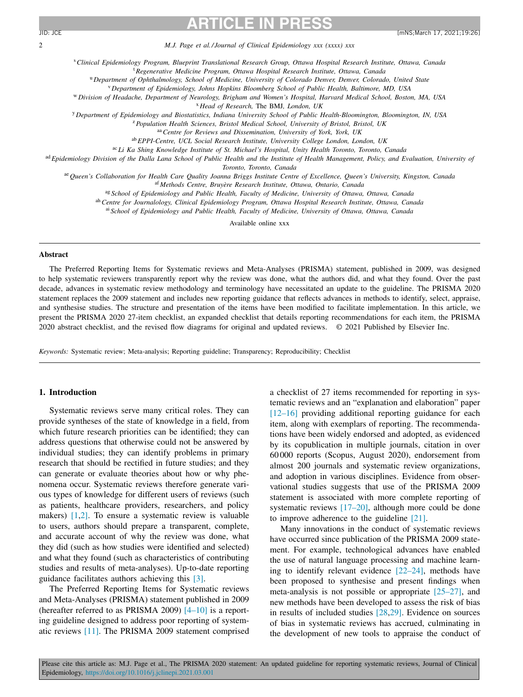<span id="page-2-0"></span>2 *M.J. Page et al./ Journal of Clinical Epidemiology xxx (xxxx) xxx*

<sup>s</sup>*Clinical Epidemiology Program, Blueprint Translational Research Group, Ottawa Hospital Research Institute, Ottawa, Canada*

<sup>t</sup>*Regenerative Medicine Program, Ottawa Hospital Research Institute, Ottawa, Canada*

<sup>u</sup> *Department of Ophthalmology, School of Medicine, University of Colorado Denver, Denver, Colorado, United State*

<sup>v</sup> *Department of Epidemiology, Johns Hopkins Bloomberg School of Public Health, Baltimore, MD, USA*

W Division of Headache, Department of Neurology, Brigham and Women's Hospital, Harvard Medical School, Boston, MA, USA

<sup>x</sup> *Head of Research,* The BMJ*, London, UK*

<sup>y</sup> *Department of Epidemiology and Biostatistics, Indiana University School of Public Health-Bloomington, Bloomington, IN, USA*

<sup>z</sup>*Population Health Sciences, Bristol Medical School, University of Bristol, Bristol, UK*

aa*Centre for Reviews and Dissemination, University of York, York, UK*

ab*EPPI-Centre, UCL Social Research Institute, University College London, London, UK*

ac *Li Ka Shing Knowledge Institute of St. Michael's Hospital, Unity Health Toronto, Toronto, Canada*

ad Epidemiology Division of the Dalla Lana School of Public Health and the Institute of Health Management, Policy, and Evaluation, University of

*Toronto, Toronto, Canada*

ae Queen's Collaboration for Health Care Quality Joanna Briggs Institute Centre of Excellence, Queen's University, Kingston, Canada

af *Methods Centre, Bruyère Research Institute, Ottawa, Ontario, Canada*

ag *School of Epidemiology and Public Health, Faculty of Medicine, University of Ottawa, Ottawa, Canada*

ah*Centre for Journalology, Clinical Epidemiology Program, Ottawa Hospital Research Institute, Ottawa, Canada*

ai *School of Epidemiology and Public Health, Faculty of Medicine, University of Ottawa, Ottawa, Canada*

Available online xxx

#### **Abstract**

The Preferred Reporting Items for Systematic reviews and Meta-Analyses (PRISMA) statement, published in 2009, was designed to help systematic reviewers transparently report why the review was done, what the authors did, and what they found. Over the past decade, advances in systematic review methodology and terminology have necessitated an update to the guideline. The PRISMA 2020 statement replaces the 2009 statement and includes new reporting guidance that reflects advances in methods to identify, select, appraise, and synthesise studies. The structure and presentation of the items have been modified to facilitate implementation. In this article, we present the PRISMA 2020 27-item checklist, an expanded checklist that details reporting recommendations for each item, the PRISMA 2020 abstract checklist, and the revised flow diagrams for original and updated reviews. © 2021 Published by Elsevier Inc.

*Keywords:* Systematic review; Meta-analysis; Reporting guideline; Transparency; Reproducibility; Checklist

#### **1. Introduction**

Systematic reviews serve many critical roles. They can provide syntheses of the state of knowledge in a field, from which future research priorities can be identified; they can address questions that otherwise could not be answered by individual studies; they can identify problems in primary research that should be rectified in future studies; and they can generate or evaluate theories about how or why phenomena occur. Systematic reviews therefore generate various types of knowledge for different users of reviews (such as patients, healthcare providers, researchers, and policy makers) [\[1,2\].](#page-10-0) To ensure a systematic review is valuable to users, authors should prepare a transparent, complete, and accurate account of why the review was done, what they did (such as how studies were identified and selected) and what they found (such as characteristics of contributing studies and results of meta-analyses). Up-to-date reporting guidance facilitates authors achieving this [\[3\].](#page-10-0)

The Preferred Reporting Items for Systematic reviews and Meta-Analyses (PRISMA) statement published in 2009 (hereafter referred to as PRISMA 2009)  $[4-10]$  is a reporting guideline designed to address poor reporting of systematic reviews [\[11\].](#page-10-0) The PRISMA 2009 statement comprised

a checklist of 27 items recommended for reporting in systematic reviews and an "explanation and elaboration" paper [\[12–16\]](#page-10-0) providing additional reporting guidance for each item, along with exemplars of reporting. The recommendations have been widely endorsed and adopted, as evidenced by its copublication in multiple journals, citation in over 60 000 reports (Scopus, August 2020), endorsement from almost 200 journals and systematic review organizations, and adoption in various disciplines. Evidence from observational studies suggests that use of the PRISMA 2009 statement is associated with more complete reporting of systematic reviews [\[17–20\],](#page-10-0) although more could be done to improve adherence to the guideline [\[21\].](#page-11-0)

Many innovations in the conduct of systematic reviews have occurred since publication of the PRISMA 2009 statement. For example, technological advances have enabled the use of natural language processing and machine learning to identify relevant evidence [\[22–24\],](#page-11-0) methods have been proposed to synthesise and present findings when meta-analysis is not possible or appropriate [\[25–27\],](#page-11-0) and new methods have been developed to assess the risk of bias in results of included studies [\[28,29\].](#page-11-0) Evidence on sources of bias in systematic reviews has accrued, culminating in the development of new tools to appraise the conduct of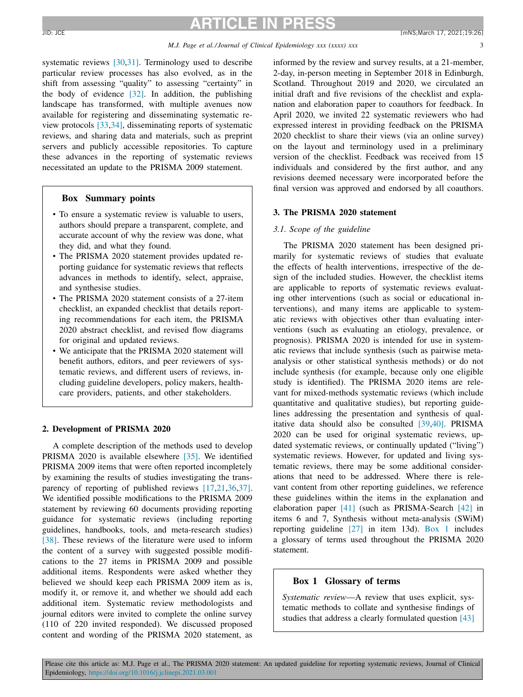systematic reviews [\[30,31\].](#page-11-0) Terminology used to describe particular review processes has also evolved, as in the shift from assessing "quality" to assessing "certainty" in the body of evidence [\[32\].](#page-11-0) In addition, the publishing landscape has transformed, with multiple avenues now available for registering and disseminating systematic review protocols [\[33,34\],](#page-11-0) disseminating reports of systematic reviews, and sharing data and materials, such as preprint servers and publicly accessible repositories. To capture these advances in the reporting of systematic reviews necessitated an update to the PRISMA 2009 statement.

### **Box Summary points**

- To ensure a systematic review is valuable to users, authors should prepare a transparent, complete, and accurate account of why the review was done, what they did, and what they found.
- The PRISMA 2020 statement provides updated reporting guidance for systematic reviews that reflects advances in methods to identify, select, appraise, and synthesise studies.
- The PRISMA 2020 statement consists of a 27-item checklist, an expanded checklist that details reporting recommendations for each item, the PRISMA 2020 abstract checklist, and revised flow diagrams for original and updated reviews.
- We anticipate that the PRISMA 2020 statement will benefit authors, editors, and peer reviewers of systematic reviews, and different users of reviews, including guideline developers, policy makers, healthcare providers, patients, and other stakeholders.

#### **2. Development of PRISMA 2020**

A complete description of the methods used to develop PRISMA 2020 is available elsewhere [\[35\].](#page-11-0) We identified PRISMA 2009 items that were often reported incompletely by examining the results of studies investigating the trans-parency of reporting of published reviews [\[17,](#page-10-0)[21,36,37\].](#page-11-0) We identified possible modifications to the PRISMA 2009 statement by reviewing 60 documents providing reporting guidance for systematic reviews (including reporting guidelines, handbooks, tools, and meta-research studies) [\[38\].](#page-11-0) These reviews of the literature were used to inform the content of a survey with suggested possible modifications to the 27 items in PRISMA 2009 and possible additional items. Respondents were asked whether they believed we should keep each PRISMA 2009 item as is, modify it, or remove it, and whether we should add each additional item. Systematic review methodologists and journal editors were invited to complete the online survey (110 of 220 invited responded). We discussed proposed content and wording of the PRISMA 2020 statement, as informed by the review and survey results, at a 21-member, 2-day, in-person meeting in September 2018 in Edinburgh, Scotland. Throughout 2019 and 2020, we circulated an initial draft and five revisions of the checklist and explanation and elaboration paper to coauthors for feedback. In April 2020, we invited 22 systematic reviewers who had expressed interest in providing feedback on the PRISMA 2020 checklist to share their views (via an online survey) on the layout and terminology used in a preliminary version of the checklist. Feedback was received from 15 individuals and considered by the first author, and any revisions deemed necessary were incorporated before the final version was approved and endorsed by all coauthors.

### **3. The PRISMA 2020 statement**

#### *3.1. Scope of the guideline*

The PRISMA 2020 statement has been designed primarily for systematic reviews of studies that evaluate the effects of health interventions, irrespective of the design of the included studies. However, the checklist items are applicable to reports of systematic reviews evaluating other interventions (such as social or educational interventions), and many items are applicable to systematic reviews with objectives other than evaluating interventions (such as evaluating an etiology, prevalence, or prognosis). PRISMA 2020 is intended for use in systematic reviews that include synthesis (such as pairwise metaanalysis or other statistical synthesis methods) or do not include synthesis (for example, because only one eligible study is identified). The PRISMA 2020 items are relevant for mixed-methods systematic reviews (which include quantitative and qualitative studies), but reporting guidelines addressing the presentation and synthesis of qualitative data should also be consulted [\[39,40\].](#page-11-0) PRISMA 2020 can be used for original systematic reviews, updated systematic reviews, or continually updated ("living") systematic reviews. However, for updated and living systematic reviews, there may be some additional considerations that need to be addressed. Where there is relevant content from other reporting guidelines, we reference these guidelines within the items in the explanation and elaboration paper [\[41\]](#page-11-0) (such as PRISMA-Search [\[42\]](#page-11-0) in items 6 and 7, Synthesis without meta-analysis (SWiM) reporting guideline [\[27\]](#page-11-0) in item 13d). Box 1 includes a glossary of terms used throughout the PRISMA 2020 statement.

#### **Box 1 Glossary of terms**

*Systematic review*—A review that uses explicit, systematic methods to collate and synthesise findings of studies that address a clearly formulated question [\[43\]](#page-11-0)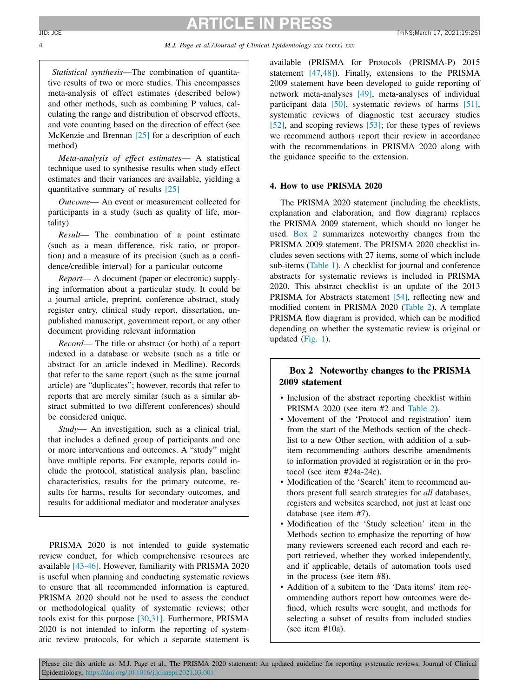*Statistical synthesis*—The combination of quantitative results of two or more studies. This encompasses meta-analysis of effect estimates (described below) and other methods, such as combining P values, calculating the range and distribution of observed effects, and vote counting based on the direction of effect (see McKenzie and Brennan [\[25\]](#page-11-0) for a description of each method)

*Meta-analysis of effect estimates*— A statistical technique used to synthesise results when study effect estimates and their variances are available, yielding a quantitative summary of results [\[25\]](#page-11-0)

*Outcome*— An event or measurement collected for participants in a study (such as quality of life, mortality)

*Result*— The combination of a point estimate (such as a mean difference, risk ratio, or proportion) and a measure of its precision (such as a confidence/credible interval) for a particular outcome

*Report*— A document (paper or electronic) supplying information about a particular study. It could be a journal article, preprint, conference abstract, study register entry, clinical study report, dissertation, unpublished manuscript, government report, or any other document providing relevant information

*Record*— The title or abstract (or both) of a report indexed in a database or website (such as a title or abstract for an article indexed in Medline). Records that refer to the same report (such as the same journal article) are "duplicates"; however, records that refer to reports that are merely similar (such as a similar abstract submitted to two different conferences) should be considered unique.

*Study*— An investigation, such as a clinical trial, that includes a defined group of participants and one or more interventions and outcomes. A "study" might have multiple reports. For example, reports could include the protocol, statistical analysis plan, baseline characteristics, results for the primary outcome, results for harms, results for secondary outcomes, and results for additional mediator and moderator analyses

PRISMA 2020 is not intended to guide systematic review conduct, for which comprehensive resources are available [\[43-46\].](#page-11-0) However, familiarity with PRISMA 2020 is useful when planning and conducting systematic reviews to ensure that all recommended information is captured. PRISMA 2020 should not be used to assess the conduct or methodological quality of systematic reviews; other tools exist for this purpose [\[30,31\].](#page-11-0) Furthermore, PRISMA 2020 is not intended to inform the reporting of systematic review protocols, for which a separate statement is available (PRISMA for Protocols (PRISMA-P) 2015 statement [\[47,48\]\)](#page-11-0). Finally, extensions to the PRISMA 2009 statement have been developed to guide reporting of network meta-analyses [\[49\],](#page-11-0) meta-analyses of individual participant data [\[50\],](#page-11-0) systematic reviews of harms [\[51\],](#page-11-0) systematic reviews of diagnostic test accuracy studies [\[52\],](#page-12-0) and scoping reviews [\[53\];](#page-12-0) for these types of reviews we recommend authors report their review in accordance with the recommendations in PRISMA 2020 along with the guidance specific to the extension.

### **4. How to use PRISMA 2020**

The PRISMA 2020 statement (including the checklists, explanation and elaboration, and flow diagram) replaces the PRISMA 2009 statement, which should no longer be used. Box 2 summarizes noteworthy changes from the PRISMA 2009 statement. The PRISMA 2020 checklist includes seven sections with 27 items, some of which include sub-items [\(Table](#page-6-0) 1). A checklist for journal and conference abstracts for systematic reviews is included in PRISMA 2020. This abstract checklist is an update of the 2013 PRISMA for Abstracts statement [\[54\],](#page-12-0) reflecting new and modified content in PRISMA 2020 [\(Table](#page-8-0) 2). A template PRISMA flow diagram is provided, which can be modified depending on whether the systematic review is original or updated [\(Fig.](#page-9-0) 1).

# **Box 2 Noteworthy changes to the PRISMA 2009 statement**

- Inclusion of the abstract reporting checklist within PRISMA 2020 (see item #2 and [Table](#page-8-0) 2).
- Movement of the 'Protocol and registration' item from the start of the Methods section of the checklist to a new Other section, with addition of a subitem recommending authors describe amendments to information provided at registration or in the protocol (see item #24a-24c).
- Modification of the 'Search' item to recommend authors present full search strategies for *all* databases, registers and websites searched, not just at least one database (see item #7).
- Modification of the 'Study selection' item in the Methods section to emphasize the reporting of how many reviewers screened each record and each report retrieved, whether they worked independently, and if applicable, details of automation tools used in the process (see item #8).
- Addition of a subitem to the 'Data items' item recommending authors report how outcomes were defined, which results were sought, and methods for selecting a subset of results from included studies (see item #10a).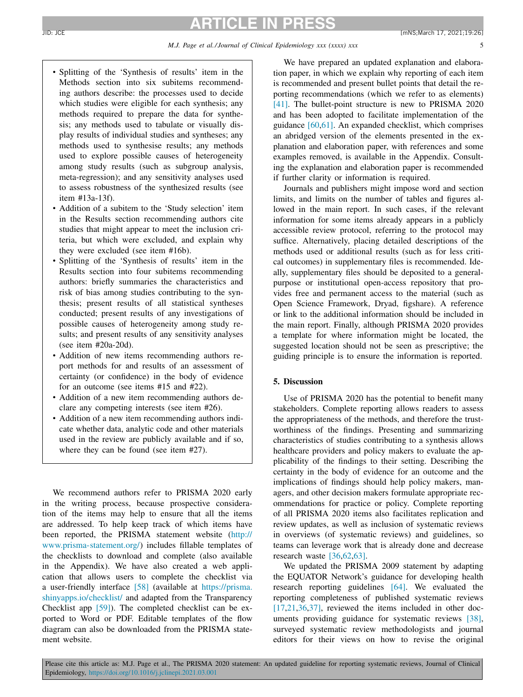- Splitting of the 'Synthesis of results' item in the Methods section into six subitems recommending authors describe: the processes used to decide which studies were eligible for each synthesis; any methods required to prepare the data for synthesis; any methods used to tabulate or visually display results of individual studies and syntheses; any methods used to synthesise results; any methods used to explore possible causes of heterogeneity among study results (such as subgroup analysis, meta-regression); and any sensitivity analyses used to assess robustness of the synthesized results (see item #13a-13f).
- Addition of a subitem to the 'Study selection' item in the Results section recommending authors cite studies that might appear to meet the inclusion criteria, but which were excluded, and explain why they were excluded (see item #16b).
- Splitting of the 'Synthesis of results' item in the Results section into four subitems recommending authors: briefly summaries the characteristics and risk of bias among studies contributing to the synthesis; present results of all statistical syntheses conducted; present results of any investigations of possible causes of heterogeneity among study results; and present results of any sensitivity analyses (see item #20a-20d).
- Addition of new items recommending authors report methods for and results of an assessment of certainty (or confidence) in the body of evidence for an outcome (see items #15 and #22).
- Addition of a new item recommending authors declare any competing interests (see item #26).
- Addition of a new item recommending authors indicate whether data, analytic code and other materials used in the review are publicly available and if so, where they can be found (see item #27).

We recommend authors refer to PRISMA 2020 early in the writing process, because prospective consideration of the items may help to ensure that all the items are addressed. To help keep track of which items have been reported, the PRISMA statement website (http:// [www.prisma-statement.org/\)](http://www.prisma-statement.org/) includes fillable templates of the checklists to download and complete (also available in the Appendix). We have also created a web application that allows users to complete the checklist via a user-friendly interface [\[58\]](#page-12-0) (available at https://prisma. [shinyapps.io/checklist/](https://prisma.shinyapps.io/checklist/) and adapted from the Transparency Checklist app [\[59\]\)](#page-12-0). The completed checklist can be exported to Word or PDF. Editable templates of the flow diagram can also be downloaded from the PRISMA statement website.

We have prepared an updated explanation and elaboration paper, in which we explain why reporting of each item is recommended and present bullet points that detail the reporting recommendations (which we refer to as elements) [\[41\].](#page-11-0) The bullet-point structure is new to PRISMA 2020 and has been adopted to facilitate implementation of the guidance [\[60,61\].](#page-12-0) An expanded checklist, which comprises an abridged version of the elements presented in the explanation and elaboration paper, with references and some examples removed, is available in the Appendix. Consulting the explanation and elaboration paper is recommended if further clarity or information is required.

Journals and publishers might impose word and section limits, and limits on the number of tables and figures allowed in the main report. In such cases, if the relevant information for some items already appears in a publicly accessible review protocol, referring to the protocol may suffice. Alternatively, placing detailed descriptions of the methods used or additional results (such as for less critical outcomes) in supplementary files is recommended. Ideally, supplementary files should be deposited to a generalpurpose or institutional open-access repository that provides free and permanent access to the material (such as Open Science Framework, Dryad, figshare). A reference or link to the additional information should be included in the main report. Finally, although PRISMA 2020 provides a template for where information might be located, the suggested location should not be seen as prescriptive; the guiding principle is to ensure the information is reported.

### **5. Discussion**

Use of PRISMA 2020 has the potential to benefit many stakeholders. Complete reporting allows readers to assess the appropriateness of the methods, and therefore the trustworthiness of the findings. Presenting and summarizing characteristics of studies contributing to a synthesis allows healthcare providers and policy makers to evaluate the applicability of the findings to their setting. Describing the certainty in the body of evidence for an outcome and the implications of findings should help policy makers, managers, and other decision makers formulate appropriate recommendations for practice or policy. Complete reporting of all PRISMA 2020 items also facilitates replication and review updates, as well as inclusion of systematic reviews in overviews (of systematic reviews) and guidelines, so teams can leverage work that is already done and decrease research waste [\[36,](#page-11-0)[62,63\].](#page-12-0)

We updated the PRISMA 2009 statement by adapting the EQUATOR Network's guidance for developing health research reporting guidelines [\[64\].](#page-12-0) We evaluated the reporting completeness of published systematic reviews [\[17](#page-10-0)[,21,36,37\],](#page-11-0) reviewed the items included in other documents providing guidance for systematic reviews [\[38\],](#page-11-0) surveyed systematic review methodologists and journal editors for their views on how to revise the original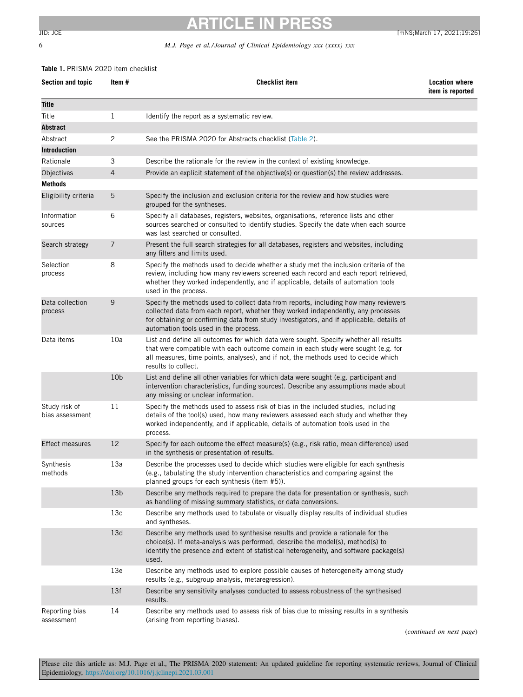# <span id="page-6-0"></span>6 *M.J. Page et al./ Journal of Clinical Epidemiology xxx (xxxx) xxx*

#### **Table 1.** PRISMA 2020 item checklist

| Section and topic                | Item #          | <b>Checklist item</b>                                                                                                                                                                                                                                                                                         | <b>Location where</b><br>item is reported |  |  |
|----------------------------------|-----------------|---------------------------------------------------------------------------------------------------------------------------------------------------------------------------------------------------------------------------------------------------------------------------------------------------------------|-------------------------------------------|--|--|
| Title                            |                 |                                                                                                                                                                                                                                                                                                               |                                           |  |  |
| Title                            | 1               | Identify the report as a systematic review.                                                                                                                                                                                                                                                                   |                                           |  |  |
| Abstract                         |                 |                                                                                                                                                                                                                                                                                                               |                                           |  |  |
| Abstract                         | 2               | See the PRISMA 2020 for Abstracts checklist (Table 2).                                                                                                                                                                                                                                                        |                                           |  |  |
| Introduction                     |                 |                                                                                                                                                                                                                                                                                                               |                                           |  |  |
| Rationale                        | 3               | Describe the rationale for the review in the context of existing knowledge.                                                                                                                                                                                                                                   |                                           |  |  |
| Objectives                       | 4               | Provide an explicit statement of the objective(s) or question(s) the review addresses.                                                                                                                                                                                                                        |                                           |  |  |
| <b>Methods</b>                   |                 |                                                                                                                                                                                                                                                                                                               |                                           |  |  |
| Eligibility criteria             | 5               | Specify the inclusion and exclusion criteria for the review and how studies were<br>grouped for the syntheses.                                                                                                                                                                                                |                                           |  |  |
| Information<br>sources           | 6               | Specify all databases, registers, websites, organisations, reference lists and other<br>sources searched or consulted to identify studies. Specify the date when each source<br>was last searched or consulted.                                                                                               |                                           |  |  |
| Search strategy                  | 7               | Present the full search strategies for all databases, registers and websites, including<br>any filters and limits used.                                                                                                                                                                                       |                                           |  |  |
| Selection<br>process             | 8               | Specify the methods used to decide whether a study met the inclusion criteria of the<br>review, including how many reviewers screened each record and each report retrieved,<br>whether they worked independently, and if applicable, details of automation tools<br>used in the process.                     |                                           |  |  |
| Data collection<br>process       | 9               | Specify the methods used to collect data from reports, including how many reviewers<br>collected data from each report, whether they worked independently, any processes<br>for obtaining or confirming data from study investigators, and if applicable, details of<br>automation tools used in the process. |                                           |  |  |
| Data items                       | 10a             | List and define all outcomes for which data were sought. Specify whether all results<br>that were compatible with each outcome domain in each study were sought (e.g. for<br>all measures, time points, analyses), and if not, the methods used to decide which<br>results to collect.                        |                                           |  |  |
|                                  | 10 <sub>b</sub> | List and define all other variables for which data were sought (e.g. participant and<br>intervention characteristics, funding sources). Describe any assumptions made about<br>any missing or unclear information.                                                                                            |                                           |  |  |
| Study risk of<br>bias assessment | 11              | Specify the methods used to assess risk of bias in the included studies, including<br>details of the tool(s) used, how many reviewers assessed each study and whether they<br>worked independently, and if applicable, details of automation tools used in the<br>process.                                    |                                           |  |  |
| <b>Effect measures</b>           | 12              | Specify for each outcome the effect measure(s) (e.g., risk ratio, mean difference) used<br>in the synthesis or presentation of results.                                                                                                                                                                       |                                           |  |  |
| Synthesis<br>methods             | 13a             | Describe the processes used to decide which studies were eligible for each synthesis<br>(e.g., tabulating the study intervention characteristics and comparing against the<br>planned groups for each synthesis (item #5)).                                                                                   |                                           |  |  |
|                                  | 13 <sub>b</sub> | Describe any methods required to prepare the data for presentation or synthesis, such<br>as handling of missing summary statistics, or data conversions.                                                                                                                                                      |                                           |  |  |
|                                  | 13c             | Describe any methods used to tabulate or visually display results of individual studies<br>and syntheses.                                                                                                                                                                                                     |                                           |  |  |
|                                  | 13d             | Describe any methods used to synthesise results and provide a rationale for the<br>choice(s). If meta-analysis was performed, describe the model(s), method(s) to<br>identify the presence and extent of statistical heterogeneity, and software package(s)<br>used.                                          |                                           |  |  |
|                                  | 13e             | Describe any methods used to explore possible causes of heterogeneity among study<br>results (e.g., subgroup analysis, metaregression).                                                                                                                                                                       |                                           |  |  |
|                                  | 13f             | Describe any sensitivity analyses conducted to assess robustness of the synthesised<br>results.                                                                                                                                                                                                               |                                           |  |  |
| Reporting bias<br>assessment     | 14              | Describe any methods used to assess risk of bias due to missing results in a synthesis<br>(arising from reporting biases).                                                                                                                                                                                    |                                           |  |  |

(*continued on next page*)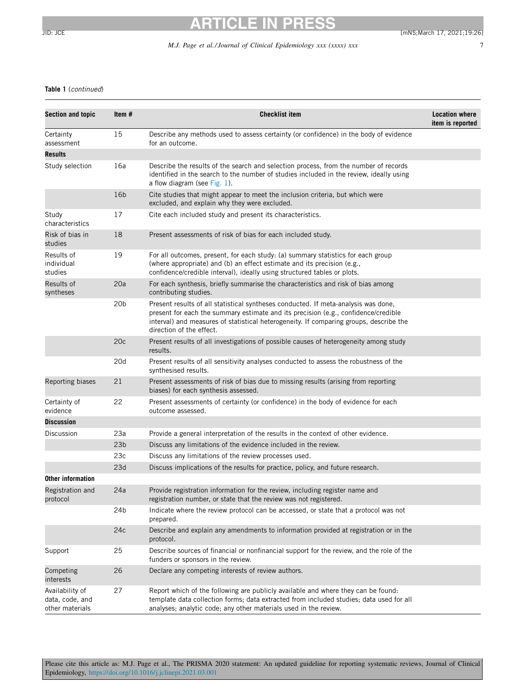### *M.J. Page et al./ Journal of Clinical Epidemiology xxx (xxxx) xxx* 7

## **Table 1** (continued)

| <b>Section and topic</b>                                | Item #          | <b>Checklist item</b>                                                                                                                                                                                                                                                                          | <b>Location where</b><br>item is reported |  |
|---------------------------------------------------------|-----------------|------------------------------------------------------------------------------------------------------------------------------------------------------------------------------------------------------------------------------------------------------------------------------------------------|-------------------------------------------|--|
| Certainty<br>assessment                                 | 15              | Describe any methods used to assess certainty (or confidence) in the body of evidence<br>for an outcome.                                                                                                                                                                                       |                                           |  |
| Results                                                 |                 |                                                                                                                                                                                                                                                                                                |                                           |  |
| Study selection                                         | 16a             | Describe the results of the search and selection process, from the number of records<br>identified in the search to the number of studies included in the review, ideally using<br>a flow diagram (see Fig. 1).                                                                                |                                           |  |
|                                                         | 16 <sub>b</sub> | Cite studies that might appear to meet the inclusion criteria, but which were<br>excluded, and explain why they were excluded.                                                                                                                                                                 |                                           |  |
| Study<br>characteristics                                | 17              | Cite each included study and present its characteristics.                                                                                                                                                                                                                                      |                                           |  |
| Risk of bias in<br>studies                              | 18              | Present assessments of risk of bias for each included study.                                                                                                                                                                                                                                   |                                           |  |
| Results of<br>individual<br>studies                     | 19              | For all outcomes, present, for each study: (a) summary statistics for each group<br>(where appropriate) and (b) an effect estimate and its precision (e.g.,<br>confidence/credible interval), ideally using structured tables or plots.                                                        |                                           |  |
| Results of<br>20a<br>syntheses<br>contributing studies. |                 | For each synthesis, briefly summarise the characteristics and risk of bias among                                                                                                                                                                                                               |                                           |  |
|                                                         | 20 <sub>b</sub> | Present results of all statistical syntheses conducted. If meta-analysis was done,<br>present for each the summary estimate and its precision (e.g., confidence/credible<br>interval) and measures of statistical heterogeneity. If comparing groups, describe the<br>direction of the effect. |                                           |  |
|                                                         | 20c             | Present results of all investigations of possible causes of heterogeneity among study<br>results.                                                                                                                                                                                              |                                           |  |
|                                                         | 20d             | Present results of all sensitivity analyses conducted to assess the robustness of the<br>synthesised results.                                                                                                                                                                                  |                                           |  |
| Reporting biases                                        | 21              | Present assessments of risk of bias due to missing results (arising from reporting<br>biases) for each synthesis assessed.                                                                                                                                                                     |                                           |  |
| Certainty of<br>evidence                                | 22              | Present assessments of certainty (or confidence) in the body of evidence for each<br>outcome assessed.                                                                                                                                                                                         |                                           |  |
| <b>Discussion</b>                                       |                 |                                                                                                                                                                                                                                                                                                |                                           |  |
| Discussion                                              | 23a             | Provide a general interpretation of the results in the context of other evidence.                                                                                                                                                                                                              |                                           |  |
|                                                         | 23 <sub>b</sub> | Discuss any limitations of the evidence included in the review.                                                                                                                                                                                                                                |                                           |  |
|                                                         | 23c             | Discuss any limitations of the review processes used.                                                                                                                                                                                                                                          |                                           |  |
|                                                         | 23d             | Discuss implications of the results for practice, policy, and future research.                                                                                                                                                                                                                 |                                           |  |
| Other information                                       |                 |                                                                                                                                                                                                                                                                                                |                                           |  |
| Registration and<br>protocol                            | 24a             | Provide registration information for the review, including register name and<br>registration number, or state that the review was not registered.                                                                                                                                              |                                           |  |
|                                                         | 24b             | Indicate where the review protocol can be accessed, or state that a protocol was not<br>prepared.                                                                                                                                                                                              |                                           |  |
|                                                         | 24c             | Describe and explain any amendments to information provided at registration or in the<br>protocol.                                                                                                                                                                                             |                                           |  |
| Support                                                 | 25              | Describe sources of financial or nonfinancial support for the review, and the role of the<br>funders or sponsors in the review.                                                                                                                                                                |                                           |  |
| Competing<br>interests                                  | 26              | Declare any competing interests of review authors.                                                                                                                                                                                                                                             |                                           |  |
| Availability of<br>data, code, and<br>other materials   | 27              | Report which of the following are publicly available and where they can be found:<br>template data collection forms; data extracted from included studies; data used for all<br>analyses; analytic code; any other materials used in the review.                                               |                                           |  |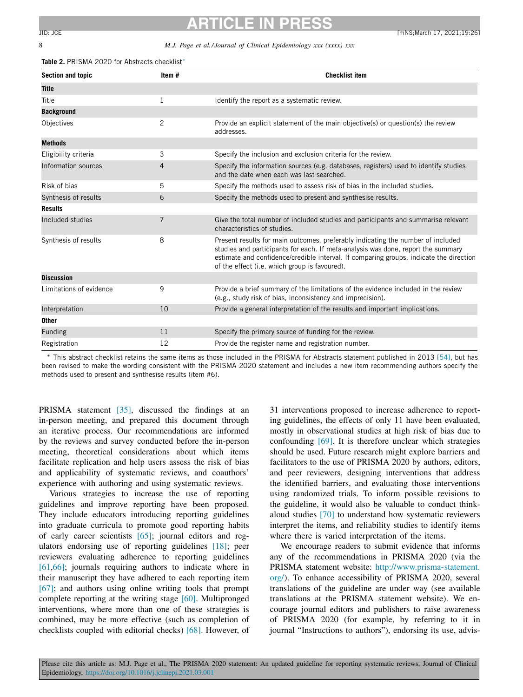#### <span id="page-8-0"></span>8 *M.J. Page et al./ Journal of Clinical Epidemiology xxx (xxxx) xxx*

**Table 2.** PRISMA 2020 for Abstracts checklist∗

| Section and topic       | Item#          | <b>Checklist item</b>                                                                                                                                                                                                                                                                                          |
|-------------------------|----------------|----------------------------------------------------------------------------------------------------------------------------------------------------------------------------------------------------------------------------------------------------------------------------------------------------------------|
| <b>Title</b>            |                |                                                                                                                                                                                                                                                                                                                |
| Title                   | 1              | Identify the report as a systematic review.                                                                                                                                                                                                                                                                    |
| <b>Background</b>       |                |                                                                                                                                                                                                                                                                                                                |
| <b>Objectives</b>       | $\overline{2}$ | Provide an explicit statement of the main objective(s) or question(s) the review<br>addresses.                                                                                                                                                                                                                 |
| <b>Methods</b>          |                |                                                                                                                                                                                                                                                                                                                |
| Eligibility criteria    | 3              | Specify the inclusion and exclusion criteria for the review.                                                                                                                                                                                                                                                   |
| Information sources     | $\overline{4}$ | Specify the information sources (e.g. databases, registers) used to identify studies<br>and the date when each was last searched.                                                                                                                                                                              |
| Risk of bias            | 5              | Specify the methods used to assess risk of bias in the included studies.                                                                                                                                                                                                                                       |
| Synthesis of results    | 6              | Specify the methods used to present and synthesise results.                                                                                                                                                                                                                                                    |
| <b>Results</b>          |                |                                                                                                                                                                                                                                                                                                                |
| Included studies        | 7              | Give the total number of included studies and participants and summarise relevant<br>characteristics of studies.                                                                                                                                                                                               |
| Synthesis of results    | 8              | Present results for main outcomes, preferably indicating the number of included<br>studies and participants for each. If meta-analysis was done, report the summary<br>estimate and confidence/credible interval. If comparing groups, indicate the direction<br>of the effect (i.e. which group is favoured). |
| <b>Discussion</b>       |                |                                                                                                                                                                                                                                                                                                                |
| Limitations of evidence | 9              | Provide a brief summary of the limitations of the evidence included in the review<br>(e.g., study risk of bias, inconsistency and imprecision).                                                                                                                                                                |
| Interpretation          | 10             | Provide a general interpretation of the results and important implications.                                                                                                                                                                                                                                    |
| <b>Other</b>            |                |                                                                                                                                                                                                                                                                                                                |
| Funding                 | 11             | Specify the primary source of funding for the review.                                                                                                                                                                                                                                                          |
| Registration            | 12             | Provide the register name and registration number.                                                                                                                                                                                                                                                             |

∗ This abstract checklist retains the same items as those included in the PRISMA for Abstracts statement published in 2013 [\[54\],](#page-12-0) but has been revised to make the wording consistent with the PRISMA 2020 statement and includes a new item recommending authors specify the methods used to present and synthesise results (item #6).

PRISMA statement [\[35\],](#page-11-0) discussed the findings at an in-person meeting, and prepared this document through an iterative process. Our recommendations are informed by the reviews and survey conducted before the in-person meeting, theoretical considerations about which items facilitate replication and help users assess the risk of bias and applicability of systematic reviews, and coauthors' experience with authoring and using systematic reviews.

Various strategies to increase the use of reporting guidelines and improve reporting have been proposed. They include educators introducing reporting guidelines into graduate curricula to promote good reporting habits of early career scientists [\[65\];](#page-12-0) journal editors and regulators endorsing use of reporting guidelines [\[18\];](#page-11-0) peer reviewers evaluating adherence to reporting guidelines [\[61,66\];](#page-12-0) journals requiring authors to indicate where in their manuscript they have adhered to each reporting item [\[67\];](#page-12-0) and authors using online writing tools that prompt complete reporting at the writing stage [\[60\].](#page-12-0) Multipronged interventions, where more than one of these strategies is combined, may be more effective (such as completion of checklists coupled with editorial checks) [\[68\].](#page-12-0) However, of 31 interventions proposed to increase adherence to reporting guidelines, the effects of only 11 have been evaluated, mostly in observational studies at high risk of bias due to confounding [\[69\].](#page-12-0) It is therefore unclear which strategies should be used. Future research might explore barriers and facilitators to the use of PRISMA 2020 by authors, editors, and peer reviewers, designing interventions that address the identified barriers, and evaluating those interventions using randomized trials. To inform possible revisions to the guideline, it would also be valuable to conduct thinkaloud studies [\[70\]](#page-12-0) to understand how systematic reviewers interpret the items, and reliability studies to identify items where there is varied interpretation of the items.

We encourage readers to submit evidence that informs any of the recommendations in PRISMA 2020 (via the PRISMA statement website: [http://www.prisma-statement.](http://www.prisma-statement.org/) org/). To enhance accessibility of PRISMA 2020, several translations of the guideline are under way (see available translations at the PRISMA statement website). We encourage journal editors and publishers to raise awareness of PRISMA 2020 (for example, by referring to it in journal "Instructions to authors"), endorsing its use, advis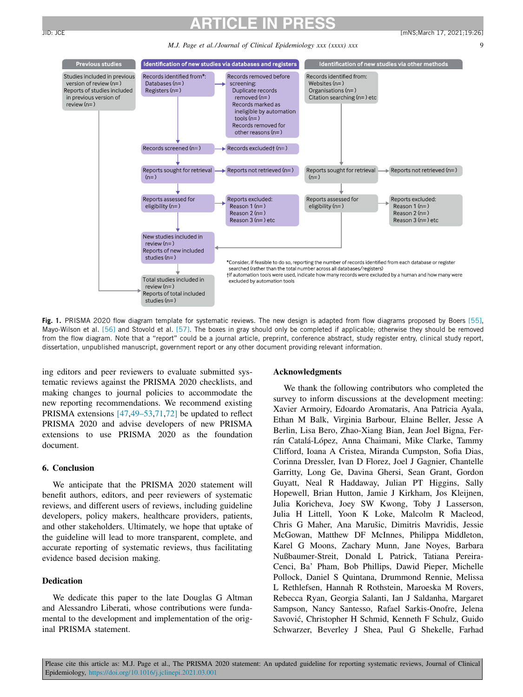<sup>2</sup>revious studies

# <span id="page-9-0"></span>**ARTICLE IN PRESS** JID: JCE [mNS;March 17, 2021;19:26]

*M.J. Page et al./ Journal of Clinical Epidemiology xxx (xxxx) xxx* 9





**Fig. 1.** PRISMA 2020 flow diagram template for systematic reviews. The new design is adapted from flow diagrams proposed by Boers [\[55\],](#page-12-0) Mayo-Wilson et al. [\[56\]](#page-12-0) and Stovold et al. [\[57\].](#page-12-0) The boxes in gray should only be completed if applicable; otherwise they should be removed from the flow diagram. Note that a "report" could be a journal article, preprint, conference abstract, study register entry, clinical study report, dissertation, unpublished manuscript, government report or any other document providing relevant information.

ing editors and peer reviewers to evaluate submitted systematic reviews against the PRISMA 2020 checklists, and making changes to journal policies to accommodate the new reporting recommendations. We recommend existing PRISMA extensions [\[47,49–53](#page-11-0)[,71,72\]](#page-12-0) be updated to reflect PRISMA 2020 and advise developers of new PRISMA extensions to use PRISMA 2020 as the foundation document.

#### **6. Conclusion**

We anticipate that the PRISMA 2020 statement will benefit authors, editors, and peer reviewers of systematic reviews, and different users of reviews, including guideline developers, policy makers, healthcare providers, patients, and other stakeholders. Ultimately, we hope that uptake of the guideline will lead to more transparent, complete, and accurate reporting of systematic reviews, thus facilitating evidence based decision making.

#### **Dedication**

We dedicate this paper to the late Douglas G Altman and Alessandro Liberati, whose contributions were fundamental to the development and implementation of the original PRISMA statement.

#### **Acknowledgments**

We thank the following contributors who completed the survey to inform discussions at the development meeting: Xavier Armoiry, Edoardo Aromataris, Ana Patricia Ayala, Ethan M Balk, Virginia Barbour, Elaine Beller, Jesse A Berlin, Lisa Bero, Zhao-Xiang Bian, Jean Joel Bigna, Ferrán Catalá-López, Anna Chaimani, Mike Clarke, Tammy Clifford, Ioana A Cristea, Miranda Cumpston, Sofia Dias, Corinna Dressler, Ivan D Florez, Joel J Gagnier, Chantelle Garritty, Long Ge, Davina Ghersi, Sean Grant, Gordon Guyatt, Neal R Haddaway, Julian PT Higgins, Sally Hopewell, Brian Hutton, Jamie J Kirkham, Jos Kleijnen, Julia Koricheva, Joey SW Kwong, Toby J Lasserson, Julia H Littell, Yoon K Loke, Malcolm R Macleod, Chris G Maher, Ana Marušic, Dimitris Mavridis, Jessie McGowan, Matthew DF McInnes, Philippa Middleton, Karel G Moons, Zachary Munn, Jane Noyes, Barbara Nußbaumer-Streit, Donald L Patrick, Tatiana Pereira-Cenci, Ba' Pham, Bob Phillips, Dawid Pieper, Michelle Pollock, Daniel S Quintana, Drummond Rennie, Melissa L Rethlefsen, Hannah R Rothstein, Maroeska M Rovers, Rebecca Ryan, Georgia Salanti, Ian J Saldanha, Margaret Sampson, Nancy Santesso, Rafael Sarkis-Onofre, Jelena Savović, Christopher H Schmid, Kenneth F Schulz, Guido Schwarzer, Beverley J Shea, Paul G Shekelle, Farhad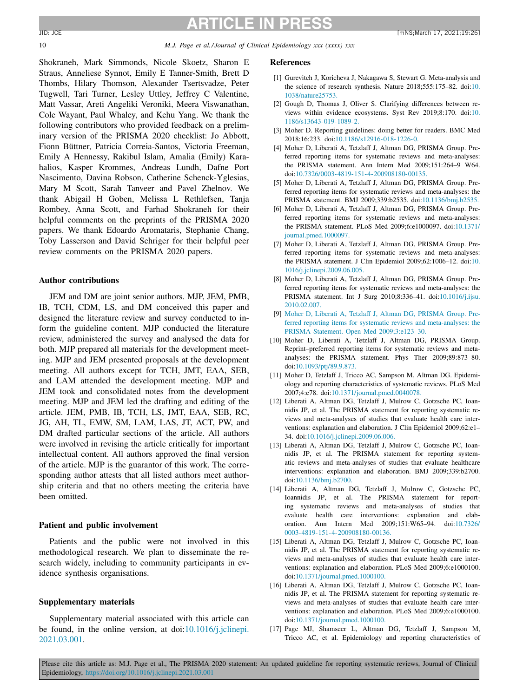<span id="page-10-0"></span>

10 *M.J. Page et al./ Journal of Clinical Epidemiology xxx (xxxx) xxx*

Shokraneh, Mark Simmonds, Nicole Skoetz, Sharon E Straus, Anneliese Synnot, Emily E Tanner-Smith, Brett D Thombs, Hilary Thomson, Alexander Tsertsvadze, Peter Tugwell, Tari Turner, Lesley Uttley, Jeffrey C Valentine, Matt Vassar, Areti Angeliki Veroniki, Meera Viswanathan, Cole Wayant, Paul Whaley, and Kehu Yang. We thank the following contributors who provided feedback on a preliminary version of the PRISMA 2020 checklist: Jo Abbott, Fionn Büttner, Patricia Correia-Santos, Victoria Freeman, Emily A Hennessy, Rakibul Islam, Amalia (Emily) Karahalios, Kasper Krommes, Andreas Lundh, Dafne Port Nascimento, Davina Robson, Catherine Schenck-Yglesias, Mary M Scott, Sarah Tanveer and Pavel Zhelnov. We thank Abigail H Goben, Melissa L Rethlefsen, Tanja Rombey, Anna Scott, and Farhad Shokraneh for their helpful comments on the preprints of the PRISMA 2020 papers. We thank Edoardo Aromataris, Stephanie Chang, Toby Lasserson and David Schriger for their helpful peer review comments on the PRISMA 2020 papers.

#### **Author contributions**

JEM and DM are joint senior authors. MJP, JEM, PMB, IB, TCH, CDM, LS, and DM conceived this paper and designed the literature review and survey conducted to inform the guideline content. MJP conducted the literature review, administered the survey and analysed the data for both. MJP prepared all materials for the development meeting. MJP and JEM presented proposals at the development meeting. All authors except for TCH, JMT, EAA, SEB, and LAM attended the development meeting. MJP and JEM took and consolidated notes from the development meeting. MJP and JEM led the drafting and editing of the article. JEM, PMB, IB, TCH, LS, JMT, EAA, SEB, RC, JG, AH, TL, EMW, SM, LAM, LAS, JT, ACT, PW, and DM drafted particular sections of the article. All authors were involved in revising the article critically for important intellectual content. All authors approved the final version of the article. MJP is the guarantor of this work. The corresponding author attests that all listed authors meet authorship criteria and that no others meeting the criteria have been omitted.

#### **Patient and public involvement**

Patients and the public were not involved in this methodological research. We plan to disseminate the research widely, including to community participants in evidence synthesis organisations.

#### **Supplementary materials**

Supplementary material associated with this article can be found, in the online version, at doi:10.1016/*i*.jclinepi. 2021.03.001.

#### **References**

- [1] Gurevitch J, Koricheva J, Nakagawa S, Stewart G. Meta-analysis and the science of research synthesis. Nature 2018;555:175–82. doi:10. [1038/nature25753.](https://doi.org/10.1038/nature25753)
- [2] Gough D, Thomas J, Oliver S. Clarifying differences between reviews within evidence ecosystems. Syst Rev 2019;8:170. doi:10. [1186/s13643-019-1089-2.](https://doi.org/10.1186/s13643-019-1089-2)
- [3] Moher D. Reporting guidelines: doing better for readers. BMC Med 2018;16:233. doi[:10.1186/s12916-018-1226-0.](https://doi.org/10.1186/s12916-018-1226-0)
- [4] Moher D, Liberati A, Tetzlaff J, Altman DG, PRISMA Group. Preferred reporting items for systematic reviews and meta-analyses: the PRISMA statement. Ann Intern Med 2009;151:264–9 W64. doi[:10.7326/0003-4819-151-4-200908180-00135.](https://doi.org/10.7326/0003-4819-151-4-200908180-00135)
- [5] Moher D, Liberati A, Tetzlaff J, Altman DG, PRISMA Group. Preferred reporting items for systematic reviews and meta-analyses: the PRISMA statement. BMJ 2009;339:b2535. doi[:10.1136/bmj.b2535.](https://doi.org/10.1136/bmj.b2535)
- [6] Moher D, Liberati A, Tetzlaff J, Altman DG, PRISMA Group. Preferred reporting items for systematic reviews and meta-analyses: the PRISMA statement. PLoS Med 2009;6:e1000097. doi:10.1371/ [journal.pmed.1000097.](https://doi.org/10.1371/journal.pmed.1000097)
- [7] Moher D, Liberati A, Tetzlaff J, Altman DG, PRISMA Group. Preferred reporting items for systematic reviews and meta-analyses: the PRISMA statement. J Clin Epidemiol 2009;62:1006–12. doi:10. [1016/j.jclinepi.2009.06.005.](https://doi.org/10.1016/j.jclinepi.2009.06.005)
- [8] Moher D, Liberati A, Tetzlaff J, Altman DG, PRISMA Group. Preferred reporting items for systematic reviews and meta-analyses: the PRISMA statement. Int J Surg 2010;8:336–41. [doi:10.1016/j.ijsu.](https://doi.org/10.1016/j.ijsu.2010.02.007) 2010.02.007.
- [9] [Moher](http://refhub.elsevier.com/S0895-4356(21)00073-1/sbref0009) D, [Liberati](http://refhub.elsevier.com/S0895-4356(21)00073-1/sbref0009) A, [Tetzlaff](http://refhub.elsevier.com/S0895-4356(21)00073-1/sbref0009) J, [Altman](http://refhub.elsevier.com/S0895-4356(21)00073-1/sbref0009) DG, [PRISMA](http://refhub.elsevier.com/S0895-4356(21)00073-1/sbref0009) Group. Preferred reporting items for systematic reviews and meta-analyses: the PRISMA Statement. Open Med [2009;3:e123–30.](http://refhub.elsevier.com/S0895-4356(21)00073-1/sbref0009)
- [10] Moher D, Liberati A, Tetzlaff J, Altman DG, PRISMA Group. Reprint–preferred reporting items for systematic reviews and metaanalyses: the PRISMA statement. Phys Ther 2009;89:873–80. doi[:10.1093/ptj/89.9.873.](https://doi.org/10.1093/ptj/89.9.873)
- [11] Moher D, Tetzlaff J, Tricco AC, Sampson M, Altman DG. Epidemiology and reporting characteristics of systematic reviews. PLoS Med 2007;4:e78. doi[:10.1371/journal.pmed.0040078.](https://doi.org/10.1371/journal.pmed.0040078)
- [12] Liberati A, Altman DG, Tetzlaff J, Mulrow C, Gotzsche PC, Ioannidis JP, et al. The PRISMA statement for reporting systematic reviews and meta-analyses of studies that evaluate health care interventions: explanation and elaboration. J Clin Epidemiol 2009;62:e1– 34. doi[:10.1016/j.jclinepi.2009.06.006.](https://doi.org/10.1016/j.jclinepi.2009.06.006)
- [13] Liberati A, Altman DG, Tetzlaff J, Mulrow C, Gotzsche PC, Ioannidis JP, et al. The PRISMA statement for reporting systematic reviews and meta-analyses of studies that evaluate healthcare interventions: explanation and elaboration. BMJ 2009;339:b2700. doi[:10.1136/bmj.b2700.](https://doi.org/10.1136/bmj.b2700)
- [14] Liberati A, Altman DG, Tetzlaff J, Mulrow C, Gotzsche PC, Ioannidis JP, et al. The PRISMA statement for reporting systematic reviews and meta-analyses of studies that evaluate health care interventions: explanation and elaboration. Ann Intern Med 2009;151:W65–94. doi:10.7326/ [0003-4819-151-4-200908180-00136.](https://doi.org/10.7326/0003-4819-151-4-200908180-00136)
- [15] Liberati A, Altman DG, Tetzlaff J, Mulrow C, Gotzsche PC, Ioannidis JP, et al. The PRISMA statement for reporting systematic reviews and meta-analyses of studies that evaluate health care interventions: explanation and elaboration. PLoS Med 2009;6:e1000100. doi[:10.1371/journal.pmed.1000100.](https://doi.org/10.1371/journal.pmed.1000100)
- [16] Liberati A, Altman DG, Tetzlaff J, Mulrow C, Gotzsche PC, Ioannidis JP, et al. The PRISMA statement for reporting systematic reviews and meta-analyses of studies that evaluate health care interventions: explanation and elaboration. PLoS Med 2009;6:e1000100. doi[:10.1371/journal.pmed.1000100.](https://doi.org/10.1371/journal.pmed.1000100)
- [17] Page MJ, Shamseer L, Altman DG, Tetzlaff J, Sampson M, Tricco AC, et al. Epidemiology and reporting characteristics of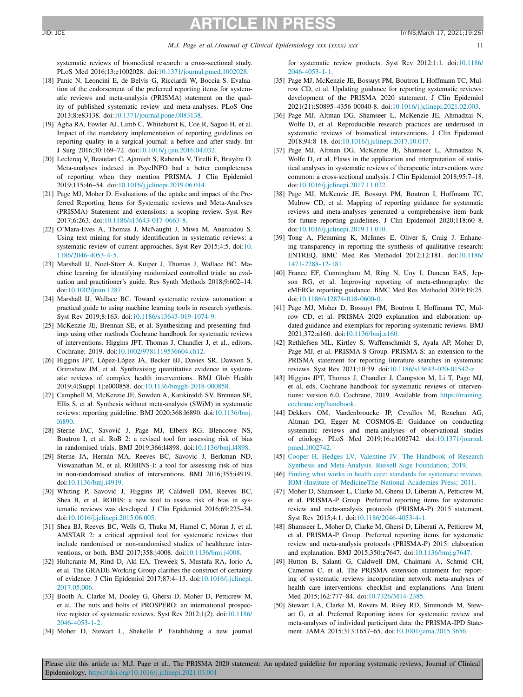<span id="page-11-0"></span>systematic reviews of biomedical research: a cross-sectional study. PLoS Med 2016;13:e1002028. doi[:10.1371/journal.pmed.1002028.](https://doi.org/10.1371/journal.pmed.1002028)

- [18] Panic N, Leoncini E, de Belvis G, Ricciardi W, Boccia S. Evaluation of the endorsement of the preferred reporting items for systematic reviews and meta-analysis (PRISMA) statement on the quality of published systematic review and meta-analyses. PLoS One 2013;8:e83138. doi[:10.1371/journal.pone.0083138.](https://doi.org/10.1371/journal.pone.0083138)
- [19] Agha RA, Fowler AJ, Limb C, Whitehurst K, Coe R, Sagoo H, et al. Impact of the mandatory implementation of reporting guidelines on reporting quality in a surgical journal: a before and after study. Int J Surg 2016;30:169–72. doi[:10.1016/j.ijsu.2016.04.032.](https://doi.org/10.1016/j.ijsu.2016.04.032)
- [20] Leclercq V, Beaudart C, Ajamieh S, Rabenda V, Tirelli E, Bruyère O. Meta-analyses indexed in PsycINFO had a better completeness of reporting when they mention PRISMA. J Clin Epidemiol 2019;115:46–54. doi[:10.1016/j.jclinepi.2019.06.014.](https://doi.org/10.1016/j.jclinepi.2019.06.014)
- [21] Page MJ, Moher D. Evaluations of the uptake and impact of the Preferred Reporting Items for Systematic reviews and Meta-Analyses (PRISMA) Statement and extensions: a scoping review. Syst Rev 2017;6:263. doi[:10.1186/s13643-017-0663-8.](https://doi.org/10.1186/s13643-017-0663-8)
- [22] O'Mara-Eves A, Thomas J, McNaught J, Miwa M, Ananiadou S. Using text mining for study identification in systematic reviews: a systematic review of current approaches. Syst Rev 2015;4:5. doi:10. [1186/2046-4053-4-5.](https://doi.org/10.1186/2046-4053-4-5)
- [23] Marshall IJ, Noel-Storr A, Kuiper J, Thomas J, Wallace BC. Machine learning for identifying randomized controlled trials: an evaluation and practitioner's guide. Res Synth Methods 2018;9:602–14. doi[:10.1002/jrsm.1287.](https://doi.org/10.1002/jrsm.1287)
- [24] Marshall IJ, Wallace BC. Toward systematic review automation: a practical guide to using machine learning tools in research synthesis. Syst Rev 2019;8:163. doi[:10.1186/s13643-019-1074-9.](https://doi.org/10.1186/s13643-019-1074-9)
- [25] McKenzie JE, Brennan SE, et al. Synthesizing and presenting findings using other methods Cochrane handbook for systematic reviews of interventions. Higgins JPT, Thomas J, Chandler J, et al., editors. Cochrane; 2019. doi[:10.1002/9781119536604.ch12.](https://doi.org/10.1002/9781119536604.ch12)
- [26] Higgins JPT, López-López JA, Becker BJ, Davies SR, Dawson S, Grimshaw JM, et al. Synthesising quantitative evidence in systematic reviews of complex health interventions. BMJ Glob Health 2019;4(Suppl 1):e000858. doi[:10.1136/bmjgh-2018-000858.](https://doi.org/10.1136/bmjgh-2018-000858)
- [27] Campbell M, McKenzie JE, Sowden A, Katikireddi SV, Brennan SE, Ellis S, et al. Synthesis without meta-analysis (SWiM) in systematic reviews: reporting guideline. BMJ 2020;368:l6890. [doi:10.1136/bmj.](https://doi.org/10.1136/bmj.l6890) l6890.
- [28] Sterne JAC, Savović J, Page MJ, Elbers RG, Blencowe NS, Boutron I, et al. RoB 2: a revised tool for assessing risk of bias in randomised trials. BMJ 2019;366:l4898. doi[:10.1136/bmj.l4898.](https://doi.org/10.1136/bmj.l4898)
- [29] Sterne JA, Hernán MA, Reeves BC, Savovic J, Berkman ND, Viswanathan M, et al. ROBINS-I: a tool for assessing risk of bias in non-randomised studies of interventions. BMJ 2016;355:i4919. doi[:10.1136/bmj.i4919.](https://doi.org/10.1136/bmj.i4919)
- [30] Whiting P, Savović J, Higgins JP, Caldwell DM, Reeves BC, Shea B, et al. ROBIS: a new tool to assess risk of bias in systematic reviews was developed. J Clin Epidemiol 2016;69:225–34. doi[:10.1016/j.jclinepi.2015.06.005.](https://doi.org/10.1016/j.jclinepi.2015.06.005)
- [31] Shea BJ, Reeves BC, Wells G, Thuku M, Hamel C, Moran J, et al. AMSTAR 2: a critical appraisal tool for systematic reviews that include randomised or non-randomised studies of healthcare interventions, or both. BMJ 2017;358:j4008. doi[:10.1136/bmj.j4008.](https://doi.org/10.1136/bmj.j4008)
- [32] Hultcrantz M, Rind D, Akl EA, Treweek S, Mustafa RA, Iorio A, et al. The GRADE Working Group clarifies the construct of certainty of evidence. J Clin Epidemiol 2017;87:4–13. [doi:10.1016/j.jclinepi.](https://doi.org/10.1016/j.jclinepi.2017.05.006) 2017.05.006.
- [33] Booth A, Clarke M, Dooley G, Ghersi D, Moher D, Petticrew M, et al. The nuts and bolts of PROSPERO: an international prospective register of systematic reviews. Syst Rev 2012;1(2). doi:10.1186/ [2046-4053-1-2.](https://doi.org/10.1186/2046-4053-1-2)
- [34] Moher D, Stewart L, Shekelle P. Establishing a new journal

for systematic review products. Syst Rev 2012;1:1. doi:10.1186/ [2046-4053-1-1.](https://doi.org/10.1186/2046-4053-1-1)

- [35] Page MJ, McKenzie JE, Bossuyt PM, Boutron I, Hoffmann TC, Mulrow CD, et al. Updating guidance for reporting systematic reviews: development of the PRISMA 2020 statement. J Clin Epidemiol 2021(21):S0895–4356 00040-8. doi[:10.1016/j.jclinepi.2021.02.003.](https://doi.org/10.1016/j.jclinepi.2021.02.003)
- [36] Page MJ, Altman DG, Shamseer L, McKenzie JE, Ahmadzai N, Wolfe D, et al. Reproducible research practices are underused in systematic reviews of biomedical interventions. J Clin Epidemiol 2018;94:8–18. doi[:10.1016/j.jclinepi.2017.10.017.](https://doi.org/10.1016/j.jclinepi.2017.10.017)
- [37] Page MJ, Altman DG, McKenzie JE, Shamseer L, Ahmadzai N, Wolfe D, et al. Flaws in the application and interpretation of statistical analyses in systematic reviews of therapeutic interventions were common: a cross-sectional analysis. J Clin Epidemiol 2018;95:7–18. doi[:10.1016/j.jclinepi.2017.11.022.](https://doi.org/10.1016/j.jclinepi.2017.11.022)
- [38] Page MJ, McKenzie JE, Bossuyt PM, Boutron I, Hoffmann TC, Mulrow CD, et al. Mapping of reporting guidance for systematic reviews and meta-analyses generated a comprehensive item bank for future reporting guidelines. J Clin Epidemiol 2020;118:60–8. doi[:10.1016/j.jclinepi.2019.11.010.](https://doi.org/10.1016/j.jclinepi.2019.11.010)
- [39] Tong A, Flemming K, McInnes E, Oliver S, Craig J. Enhancing transparency in reporting the synthesis of qualitative research: ENTREQ. BMC Med Res Methodol 2012;12:181. doi:10.1186/ [1471-2288-12-181.](https://doi.org/10.1186/1471-2288-12-181)
- [40] France EF, Cunningham M, Ring N, Uny I, Duncan EAS, Jepson RG, et al. Improving reporting of meta-ethnography: the eMERGe reporting guidance. BMC Med Res Methodol 2019;19:25. doi[:10.1186/s12874-018-0600-0.](https://doi.org/10.1186/s12874-018-0600-0)
- [41] Page MJ, Moher D, Bossuyt PM, Boutron I, Hoffmann TC, Mulrow CD, et al. PRISMA 2020 explanation and elaboration: updated guidance and exemplars for reporting systematic reviews. BMJ 2021;372:n160. doi[:10.1136/bmj.n160.](https://doi.org/10.1136/bmj.n160)
- [42] Rethlefsen ML, Kirtley S, Waffenschmidt S, Ayala AP, Moher D, Page MJ, et al. PRISMA-S Group. PRISMA-S: an extension to the PRISMA statement for reporting literature searches in systematic reviews. Syst Rev 2021;10:39. doi[:10.1186/s13643-020-01542-z.](https://doi.org/10.1186/s13643-020-01542-z)
- [43] Higgins JPT, Thomas J, Chandler J, Cumpston M, Li T, Page MJ, et al, eds. Cochrane handbook for systematic reviews of interventions: version 6.0. Cochrane, 2019. Available from https://training. [cochrane.org/handbook.](https://training.cochrane.org/handbook)
- [44] Dekkers OM, Vandenbroucke JP, Cevallos M, Renehan AG, Altman DG, Egger M. COSMOS-E: Guidance on conducting systematic reviews and meta-analyses of observational studies of etiology. PLoS Med 2019;16:e1002742. [doi:10.1371/journal.](https://doi.org/10.1371/journal.pmed.1002742) pmed.1002742.
- [45] [Cooper](http://refhub.elsevier.com/S0895-4356(21)00073-1/sbref0045) H, [Hedges](http://refhub.elsevier.com/S0895-4356(21)00073-1/sbref0045) LV, [Valentine](http://refhub.elsevier.com/S0895-4356(21)00073-1/sbref0045) JV. The Handbook of Research Synthesis and [Meta-Analysis.](http://refhub.elsevier.com/S0895-4356(21)00073-1/sbref0045) Russell Sage Foundation; 2019.
- [46] Finding what works in health care: standards for systematic reviews. IOM (Institute of [MedicineThe](http://refhub.elsevier.com/S0895-4356(21)00073-1/sbref0046) National Academies Press; 2011.
- [47] Moher D, Shamseer L, Clarke M, Ghersi D, Liberati A, Petticrew M, et al. PRISMA-P Group. Preferred reporting items for systematic review and meta-analysis protocols (PRISMA-P) 2015 statement. Syst Rev 2015;4:1. doi[:10.1186/2046-4053-4-1.](https://doi.org/10.1186/2046-4053-4-1)
- [48] Shamseer L, Moher D, Clarke M, Ghersi D, Liberati A, Petticrew M, et al. PRISMA-P Group. Preferred reporting items for systematic review and meta-analysis protocols (PRISMA-P) 2015: elaboration and explanation. BMJ 2015;350:g7647. doi[:10.1136/bmj.g7647.](https://doi.org/10.1136/bmj.g7647)
- [49] Hutton B, Salanti G, Caldwell DM, Chaimani A, Schmid CH, Cameron C, et al. The PRISMA extension statement for reporting of systematic reviews incorporating network meta-analyses of health care interventions: checklist and explanations. Ann Intern Med 2015;162:777–84. doi[:10.7326/M14-2385.](https://doi.org/10.7326/M14-2385)
- [50] Stewart LA, Clarke M, Rovers M, Riley RD, Simmonds M, Stewart G, et al. Preferred Reporting items for systematic review and meta-analyses of individual participant data: the PRISMA-IPD Statement. JAMA 2015;313:1657–65. doi[:10.1001/jama.2015.3656.](https://doi.org/10.1001/jama.2015.3656)